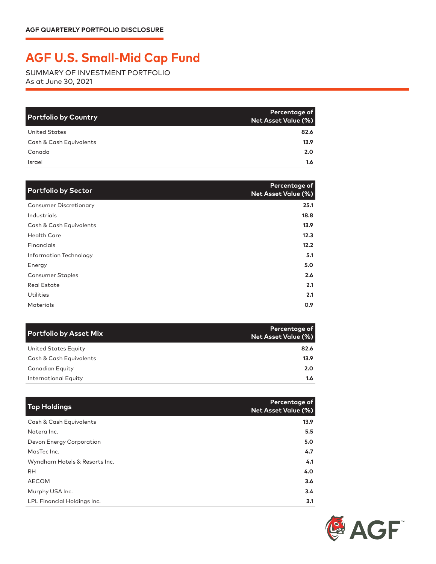## **AGF U.S. Small-Mid Cap Fund**

SUMMARY OF INVESTMENT PORTFOLIO As at June 30, 2021

| <b>Portfolio by Country</b> | Percentage of<br>Net Asset Value (%) |
|-----------------------------|--------------------------------------|
| <b>United States</b>        | 82.6                                 |
| Cash & Cash Equivalents     | 13.9                                 |
| Canada                      | 2.0                                  |
| Israel                      | $1.6^{\circ}$                        |

| <b>Portfolio by Sector</b>    | Percentage of<br><b>Net Asset Value (%)</b> |
|-------------------------------|---------------------------------------------|
| <b>Consumer Discretionary</b> | 25.1                                        |
| Industrials                   | 18.8                                        |
| Cash & Cash Equivalents       | 13.9 <sup>2</sup>                           |
| <b>Health Care</b>            | 12.3                                        |
| Financials                    | 12.2                                        |
| Information Technology        | 5.1                                         |
| Energy                        | 5.0                                         |
| <b>Consumer Staples</b>       | 2.6                                         |
| <b>Real Estate</b>            | 2.1                                         |
| <b>Utilities</b>              | 2.1                                         |
| <b>Materials</b>              | 0.9                                         |

| <b>Portfolio by Asset Mix</b> | Percentage of<br>Net Asset Value (%) |
|-------------------------------|--------------------------------------|
| United States Equity          | 82.6                                 |
| Cash & Cash Equivalents       | 13.9                                 |
| Canadian Equity               | 2.0                                  |
| International Equity          | 1.6                                  |

| <b>Top Holdings</b>           | Percentage of<br><b>Net Asset Value (%)</b> |
|-------------------------------|---------------------------------------------|
| Cash & Cash Equivalents       | 13.9                                        |
| Natera Inc.                   | 5.5                                         |
| Devon Energy Corporation      | 5.0                                         |
| MasTec Inc.                   | 4.7                                         |
| Wyndham Hotels & Resorts Inc. | 4.1                                         |
| <b>RH</b>                     | 4.0                                         |
| <b>AECOM</b>                  | 3.6                                         |
| Murphy USA Inc.               | 3.4                                         |
| LPL Financial Holdings Inc.   | 3.1                                         |